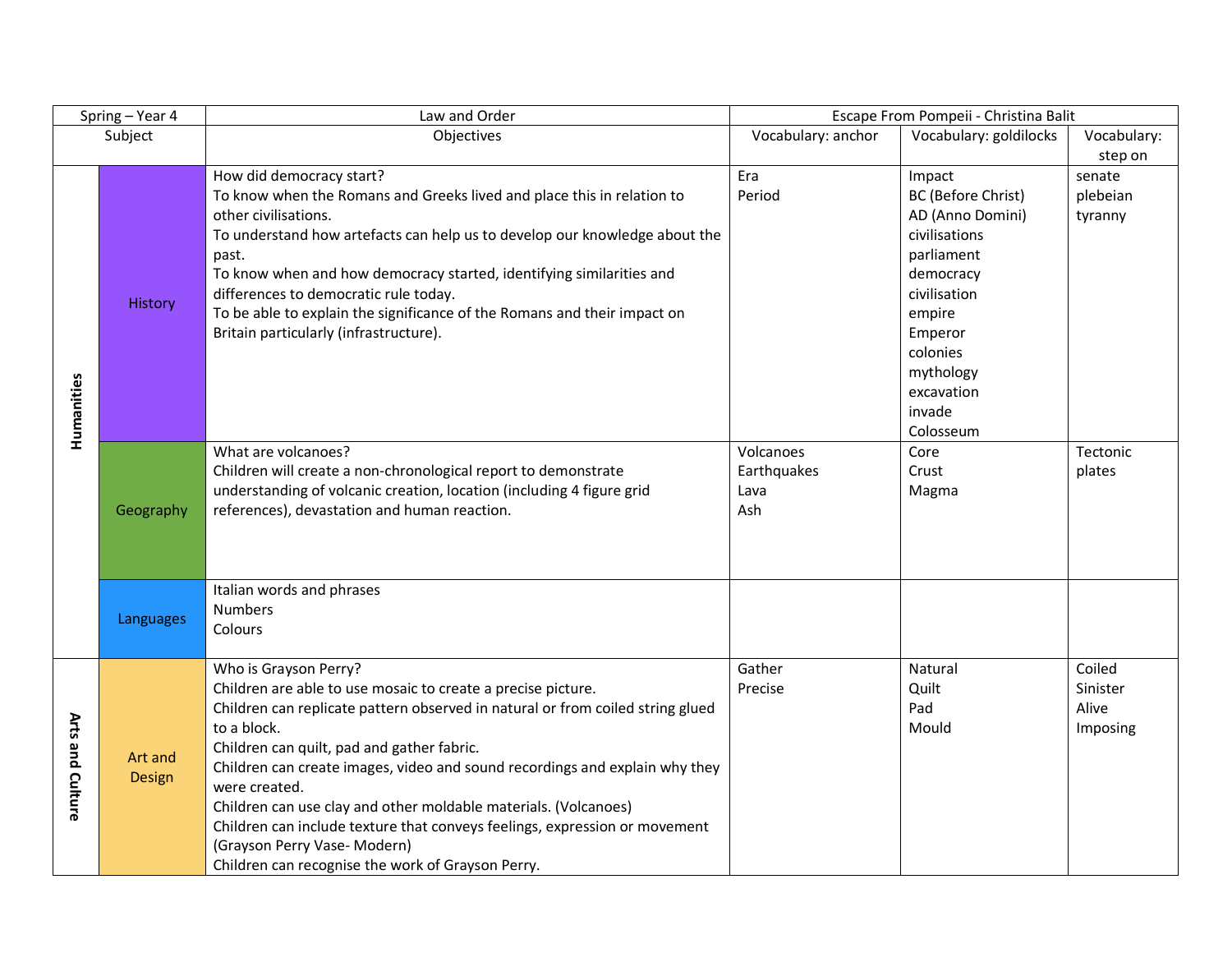| Spring - Year 4  |                   | Law and Order                                                                                                                                                                                                                                                                                                                                                                                                                                                                                                                                                              | Escape From Pompeii - Christina Balit   |                                                                                                                                                                                                 |                                         |
|------------------|-------------------|----------------------------------------------------------------------------------------------------------------------------------------------------------------------------------------------------------------------------------------------------------------------------------------------------------------------------------------------------------------------------------------------------------------------------------------------------------------------------------------------------------------------------------------------------------------------------|-----------------------------------------|-------------------------------------------------------------------------------------------------------------------------------------------------------------------------------------------------|-----------------------------------------|
| Subject          |                   | Objectives                                                                                                                                                                                                                                                                                                                                                                                                                                                                                                                                                                 | Vocabulary: anchor                      | Vocabulary: goldilocks                                                                                                                                                                          | Vocabulary:                             |
|                  |                   |                                                                                                                                                                                                                                                                                                                                                                                                                                                                                                                                                                            |                                         |                                                                                                                                                                                                 | step on                                 |
| Humanities       | History           | How did democracy start?<br>To know when the Romans and Greeks lived and place this in relation to<br>other civilisations.<br>To understand how artefacts can help us to develop our knowledge about the<br>past.<br>To know when and how democracy started, identifying similarities and<br>differences to democratic rule today.<br>To be able to explain the significance of the Romans and their impact on<br>Britain particularly (infrastructure).                                                                                                                   | Era<br>Period                           | Impact<br>BC (Before Christ)<br>AD (Anno Domini)<br>civilisations<br>parliament<br>democracy<br>civilisation<br>empire<br>Emperor<br>colonies<br>mythology<br>excavation<br>invade<br>Colosseum | senate<br>plebeian<br>tyranny           |
|                  | Geography         | What are volcanoes?<br>Children will create a non-chronological report to demonstrate<br>understanding of volcanic creation, location (including 4 figure grid<br>references), devastation and human reaction.                                                                                                                                                                                                                                                                                                                                                             | Volcanoes<br>Earthquakes<br>Lava<br>Ash | Core<br>Crust<br>Magma                                                                                                                                                                          | Tectonic<br>plates                      |
|                  | Languages         | Italian words and phrases<br><b>Numbers</b><br>Colours                                                                                                                                                                                                                                                                                                                                                                                                                                                                                                                     |                                         |                                                                                                                                                                                                 |                                         |
| Arts and Culture | Art and<br>Design | Who is Grayson Perry?<br>Children are able to use mosaic to create a precise picture.<br>Children can replicate pattern observed in natural or from coiled string glued<br>to a block.<br>Children can quilt, pad and gather fabric.<br>Children can create images, video and sound recordings and explain why they<br>were created.<br>Children can use clay and other moldable materials. (Volcanoes)<br>Children can include texture that conveys feelings, expression or movement<br>(Grayson Perry Vase- Modern)<br>Children can recognise the work of Grayson Perry. | Gather<br>Precise                       | Natural<br>Quilt<br>Pad<br>Mould                                                                                                                                                                | Coiled<br>Sinister<br>Alive<br>Imposing |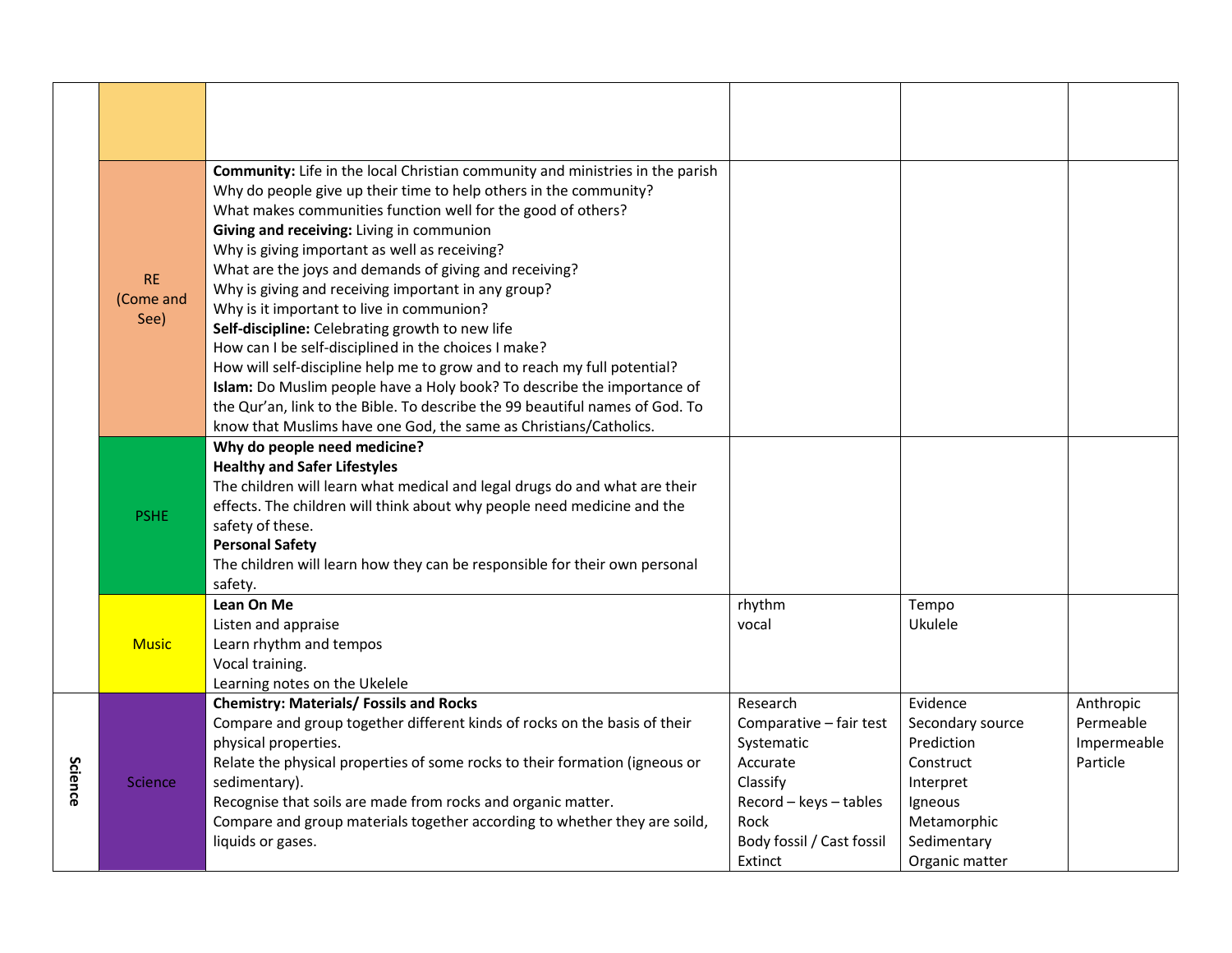|         | <b>RE</b><br>(Come and<br>See) | Community: Life in the local Christian community and ministries in the parish<br>Why do people give up their time to help others in the community?<br>What makes communities function well for the good of others?<br>Giving and receiving: Living in communion<br>Why is giving important as well as receiving?<br>What are the joys and demands of giving and receiving?<br>Why is giving and receiving important in any group?<br>Why is it important to live in communion?<br>Self-discipline: Celebrating growth to new life<br>How can I be self-disciplined in the choices I make?<br>How will self-discipline help me to grow and to reach my full potential?<br>Islam: Do Muslim people have a Holy book? To describe the importance of<br>the Qur'an, link to the Bible. To describe the 99 beautiful names of God. To<br>know that Muslims have one God, the same as Christians/Catholics. |                                                                                                                                                     |                                                                                                                                 |                                                   |
|---------|--------------------------------|-------------------------------------------------------------------------------------------------------------------------------------------------------------------------------------------------------------------------------------------------------------------------------------------------------------------------------------------------------------------------------------------------------------------------------------------------------------------------------------------------------------------------------------------------------------------------------------------------------------------------------------------------------------------------------------------------------------------------------------------------------------------------------------------------------------------------------------------------------------------------------------------------------|-----------------------------------------------------------------------------------------------------------------------------------------------------|---------------------------------------------------------------------------------------------------------------------------------|---------------------------------------------------|
|         | <b>PSHE</b>                    | Why do people need medicine?<br><b>Healthy and Safer Lifestyles</b><br>The children will learn what medical and legal drugs do and what are their<br>effects. The children will think about why people need medicine and the<br>safety of these.<br><b>Personal Safety</b><br>The children will learn how they can be responsible for their own personal<br>safety.                                                                                                                                                                                                                                                                                                                                                                                                                                                                                                                                   |                                                                                                                                                     |                                                                                                                                 |                                                   |
|         | <b>Music</b>                   | Lean On Me<br>Listen and appraise<br>Learn rhythm and tempos<br>Vocal training.<br>Learning notes on the Ukelele                                                                                                                                                                                                                                                                                                                                                                                                                                                                                                                                                                                                                                                                                                                                                                                      | rhythm<br>vocal                                                                                                                                     | Tempo<br>Ukulele                                                                                                                |                                                   |
| Science | <b>Science</b>                 | <b>Chemistry: Materials/ Fossils and Rocks</b><br>Compare and group together different kinds of rocks on the basis of their<br>physical properties.<br>Relate the physical properties of some rocks to their formation (igneous or<br>sedimentary).<br>Recognise that soils are made from rocks and organic matter.<br>Compare and group materials together according to whether they are soild,<br>liquids or gases.                                                                                                                                                                                                                                                                                                                                                                                                                                                                                 | Research<br>Comparative - fair test<br>Systematic<br>Accurate<br>Classify<br>Record - keys - tables<br>Rock<br>Body fossil / Cast fossil<br>Extinct | Evidence<br>Secondary source<br>Prediction<br>Construct<br>Interpret<br>Igneous<br>Metamorphic<br>Sedimentary<br>Organic matter | Anthropic<br>Permeable<br>Impermeable<br>Particle |